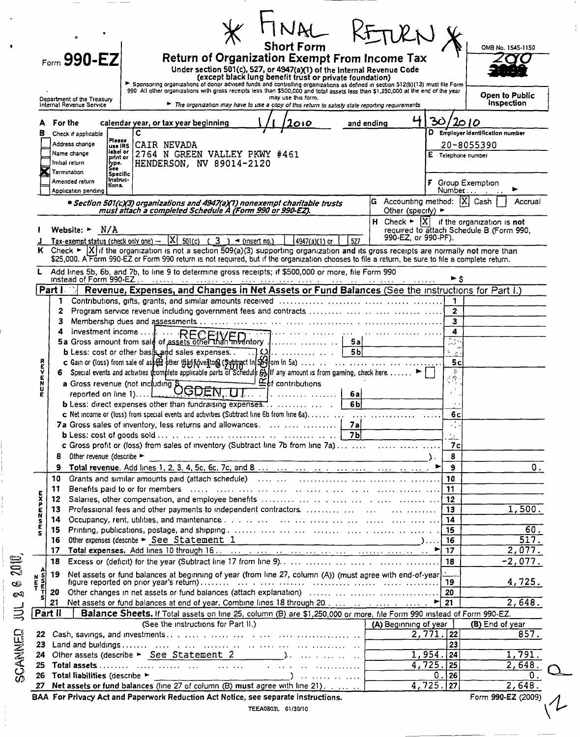|                                                        | <b>Short Form</b>                                                                                                                                                                                                                                                    | UKN X                                      |                                       | OMB No. 1545-1150                                                                                          |
|--------------------------------------------------------|----------------------------------------------------------------------------------------------------------------------------------------------------------------------------------------------------------------------------------------------------------------------|--------------------------------------------|---------------------------------------|------------------------------------------------------------------------------------------------------------|
| Form $990 - EZ$                                        | <b>Return of Organization Exempt From Income Tax</b>                                                                                                                                                                                                                 |                                            |                                       |                                                                                                            |
|                                                        | Under section 501(c), 527, or 4947(a)(1) of the Internal Revenue Code<br>(except black lung benefit trust or private foundation)                                                                                                                                     |                                            |                                       |                                                                                                            |
|                                                        | > Sponsoring organizations of donor advised funds and controlling organizations as defined in section 512(b)(13) must file Form<br>990 All other organizations with gross receipts less than \$500,000 and total assets less than \$1,250,000 at the end of the year |                                            |                                       |                                                                                                            |
| Department of the Treasury<br>Internal Revenue Service | may use this form.<br>The organization may have to use a copy of this return to satisfy state reporting requirements                                                                                                                                                 |                                            |                                       | Open to Public<br>Inspection                                                                               |
|                                                        |                                                                                                                                                                                                                                                                      |                                            |                                       |                                                                                                            |
| For the                                                | calendar year, or tax year beginning<br>010                                                                                                                                                                                                                          | and ending                                 | 30<br>2010                            |                                                                                                            |
| в<br>Check if applicable<br>Piesse                     | C                                                                                                                                                                                                                                                                    |                                            |                                       | D Employer identification number                                                                           |
| Address change<br>luse IRS<br>label or<br>Name change  | CAIR NEVADA<br>2764 N GREEN VALLEY PKWY #461                                                                                                                                                                                                                         |                                            |                                       | 20-8055390                                                                                                 |
| print or<br>Initial return<br>type.<br>See             | HENDERSON, NV 89014-2120                                                                                                                                                                                                                                             |                                            | E Telephone number                    |                                                                                                            |
| Termination<br>Specific<br>Instruc-                    |                                                                                                                                                                                                                                                                      |                                            |                                       |                                                                                                            |
| Amended return<br>tions.<br>Application pending        |                                                                                                                                                                                                                                                                      |                                            | Number                                | Group Exemption                                                                                            |
|                                                        | • Section 501(c)(3) organizations and 4947(a)(1) nonexempt charitable trusts                                                                                                                                                                                         | G Accounting method: $ \overline{X} $ Cash |                                       | Accrual                                                                                                    |
|                                                        | must attach a completed Schedule A (Form 990 or 990-EZ).                                                                                                                                                                                                             | Other (specify) $\blacktriangleright$      |                                       |                                                                                                            |
| Website: $\blacktriangleright$ N/A                     |                                                                                                                                                                                                                                                                      |                                            |                                       | H Check $\blacktriangleright$ $ X $ if the organization is not<br>required to attach Schedule B (Form 990, |
|                                                        | Tax-exempt status (check only one) - $ X $ 501(c) (3) < (insert no.)<br>527<br>4947(a)(1) or                                                                                                                                                                         | 990-EZ, or 990-PF).                        |                                       |                                                                                                            |
|                                                        | K Check $\triangleright$  X  if the organization is not a section 509(a)(3) supporting organization and its gross receipts are normally not more than                                                                                                                |                                            |                                       |                                                                                                            |
|                                                        | \$25,000. A Form 990-EZ or Form 990 return is not required, but if the organization chooses to file a return, be sure to file a complete return.                                                                                                                     |                                            |                                       |                                                                                                            |
|                                                        | L Add lines 5b, 6b, and 7b, to line 9 to determine gross receipts; if \$500,000 or more, file Form 990                                                                                                                                                               |                                            | ►ś                                    |                                                                                                            |
| Part I                                                 | Revenue, Expenses, and Changes in Net Assets or Fund Balances (See the instructions for Part I.)                                                                                                                                                                     |                                            |                                       |                                                                                                            |
|                                                        |                                                                                                                                                                                                                                                                      |                                            |                                       |                                                                                                            |
| 2                                                      |                                                                                                                                                                                                                                                                      |                                            | $\mathbf{2}$                          |                                                                                                            |
| 3                                                      |                                                                                                                                                                                                                                                                      |                                            | $\overline{\mathbf{3}}$               |                                                                                                            |
|                                                        | Investment income $\dots$ .<br>5a                                                                                                                                                                                                                                    |                                            | 4<br>्र                               |                                                                                                            |
|                                                        | 5 <sub>b</sub>                                                                                                                                                                                                                                                       |                                            | يمت                                   |                                                                                                            |
|                                                        |                                                                                                                                                                                                                                                                      |                                            | 5c                                    |                                                                                                            |
| トラドリドリド                                                | 6 Special events and activities (complete applicable parts of Schedule $\tilde{\theta}$ ) If any amount is from gaming, check here. >                                                                                                                                |                                            | $\frac{1}{2}$                         |                                                                                                            |
|                                                        | $\n  Éb$ contributions<br>Special evenue (not including SCODEN, UT                                                                                                                                                                                                   |                                            |                                       |                                                                                                            |
|                                                        | 6a<br>6bl                                                                                                                                                                                                                                                            |                                            |                                       |                                                                                                            |
|                                                        | c Net income or (loss) from special events and activities (Subtract line 6b from line 6a)                                                                                                                                                                            |                                            | 6c                                    |                                                                                                            |
|                                                        | 7a<br>7a Gross sales of inventory, less returns and allowances.                                                                                                                                                                                                      |                                            |                                       |                                                                                                            |
|                                                        |                                                                                                                                                                                                                                                                      |                                            | للكتب                                 |                                                                                                            |
|                                                        |                                                                                                                                                                                                                                                                      |                                            | 7c                                    |                                                                                                            |
| Other revenue (describe ><br>8                         |                                                                                                                                                                                                                                                                      |                                            | 8                                     |                                                                                                            |
| 9<br>10                                                | Grants and similar amounts paid (attach schedule) (and the content of the content of the content of the content                                                                                                                                                      |                                            | -9<br>10                              | 0.                                                                                                         |
| 11                                                     |                                                                                                                                                                                                                                                                      |                                            | 11                                    |                                                                                                            |
| 12                                                     |                                                                                                                                                                                                                                                                      |                                            |                                       |                                                                                                            |
| 13                                                     |                                                                                                                                                                                                                                                                      |                                            | 13                                    | 1,500.                                                                                                     |
| 14                                                     |                                                                                                                                                                                                                                                                      |                                            | 14                                    |                                                                                                            |
| 15                                                     |                                                                                                                                                                                                                                                                      |                                            | 15                                    | $\overline{60}$ .<br>517.                                                                                  |
| 16<br>17                                               | Other expenses (describe $\triangleright$ <u>See Statement 1</u> experience and the second second second second second second second second second second second second second second second second second second second second second second                        |                                            | 16<br>17                              | 2,077.                                                                                                     |
| 18                                                     |                                                                                                                                                                                                                                                                      |                                            | 18                                    | $-2,077.$                                                                                                  |
| 19                                                     | het assets or fund balances at beginning of year (from line 27, column (A)) (must agree with end-of-year)                                                                                                                                                            |                                            |                                       |                                                                                                            |
| $\frac{5}{5}$                                          |                                                                                                                                                                                                                                                                      |                                            | 19                                    | 4,725.                                                                                                     |
| 20                                                     |                                                                                                                                                                                                                                                                      |                                            |                                       |                                                                                                            |
|                                                        |                                                                                                                                                                                                                                                                      |                                            |                                       | 2,648.                                                                                                     |
| 21                                                     | Balance Sheets. If Total assets on line 25, column (B) are \$1,250,000 or more, file Form 990 instead of Form 990-EZ.<br>(See the instructions for Part II.)                                                                                                         | (A) Beginning of year                      |                                       | (B) End of year                                                                                            |
| Part II                                                |                                                                                                                                                                                                                                                                      |                                            | $2,771.$ 22                           | 857.                                                                                                       |
| 22                                                     |                                                                                                                                                                                                                                                                      |                                            | $\overline{23}$                       |                                                                                                            |
| 23                                                     |                                                                                                                                                                                                                                                                      |                                            |                                       |                                                                                                            |
| 24                                                     |                                                                                                                                                                                                                                                                      |                                            | $1,954.$ 24                           | 1,791.                                                                                                     |
| 25                                                     |                                                                                                                                                                                                                                                                      |                                            | $4,725.$ 25                           | $\overline{2,648}$ .                                                                                       |
| Total liabilities (describe ><br>26<br>27              | Net assets or fund balances (line 27 of column (B) must agree with line 21).                                                                                                                                                                                         |                                            | 0.<br>26  <br>$\overline{4, 725.}$ 27 | 0.<br>2,648.                                                                                               |

 $\frac{1}{4}$ 

 $\overline{\phantom{m}}$ 

 $\begin{array}{c} \bullet \\ \bullet \\ \bullet \end{array}$ 

 $\overline{\phantom{a}}$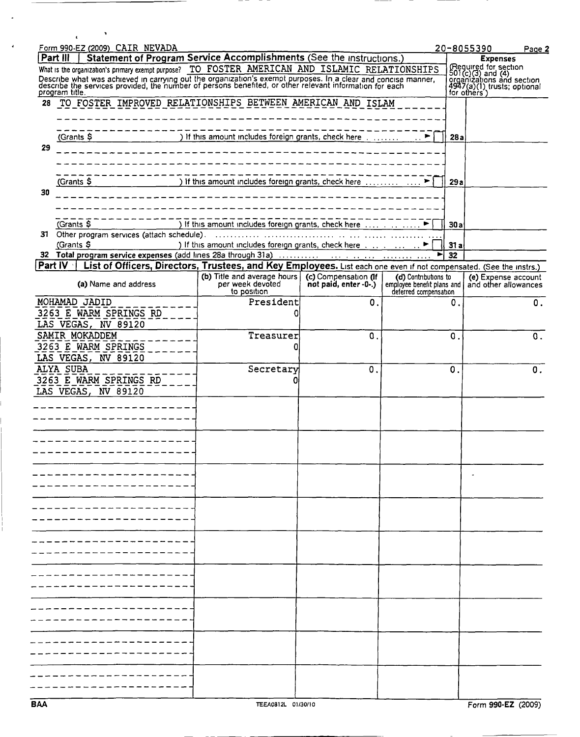|     | $\mathbf{r}$                                                                                                                                                                                                          |                                                                                           |                                               |                                                                             |               |                                                                                                        |
|-----|-----------------------------------------------------------------------------------------------------------------------------------------------------------------------------------------------------------------------|-------------------------------------------------------------------------------------------|-----------------------------------------------|-----------------------------------------------------------------------------|---------------|--------------------------------------------------------------------------------------------------------|
|     | Form 990-EZ (2009) CAIR NEVADA<br>Statement of Program Service Accomplishments (See the instructions.)<br>Part III                                                                                                    |                                                                                           |                                               |                                                                             |               | 20-8055390<br>Page 2                                                                                   |
|     | What is the organization's primary exempt purpose? TO FOSTER AMERICAN AND ISLAMIC RELATIONSHIPS                                                                                                                       |                                                                                           |                                               |                                                                             |               | <b>Expenses</b>                                                                                        |
|     |                                                                                                                                                                                                                       |                                                                                           |                                               |                                                                             |               | (Required for section<br>501(c)(3) and (4)<br>organizations and section<br>4947(a)(1) trusts; optional |
|     | Describe what was achieved in carrying out the organization's exempt purposes. In a clear and concise manner, describe the services provided, the number of persons benefited, or other relevant information for each |                                                                                           |                                               |                                                                             |               |                                                                                                        |
| 28  | program title.<br>TO FOSTER IMPROVED RELATIONSHIPS BETWEEN AMERICAN AND ISLAM                                                                                                                                         |                                                                                           |                                               |                                                                             |               | for others')                                                                                           |
|     |                                                                                                                                                                                                                       |                                                                                           |                                               |                                                                             |               |                                                                                                        |
|     |                                                                                                                                                                                                                       |                                                                                           |                                               |                                                                             |               |                                                                                                        |
|     | (Grants \$                                                                                                                                                                                                            | ) If this amount includes foreign grants, check here ▶                                    |                                               |                                                                             | 28a           |                                                                                                        |
| 29  |                                                                                                                                                                                                                       |                                                                                           |                                               |                                                                             |               |                                                                                                        |
|     |                                                                                                                                                                                                                       |                                                                                           |                                               |                                                                             |               |                                                                                                        |
|     |                                                                                                                                                                                                                       |                                                                                           |                                               |                                                                             |               |                                                                                                        |
|     | (Grants \$                                                                                                                                                                                                            | ) If this amount includes foreign grants, check here   ▶                                  |                                               |                                                                             | 29a           |                                                                                                        |
| 30  |                                                                                                                                                                                                                       |                                                                                           |                                               |                                                                             |               |                                                                                                        |
|     |                                                                                                                                                                                                                       |                                                                                           |                                               |                                                                             |               |                                                                                                        |
|     |                                                                                                                                                                                                                       |                                                                                           |                                               |                                                                             |               |                                                                                                        |
|     | (Grants \$                                                                                                                                                                                                            | ) If this amount includes foreign grants, check here                                      |                                               |                                                                             | 30a           |                                                                                                        |
| 31. | Other program services (attach schedule).                                                                                                                                                                             |                                                                                           | .                                             |                                                                             |               |                                                                                                        |
|     | (Grants \$                                                                                                                                                                                                            | ) If this amount includes foreign grants, check here contained and contained the state of |                                               |                                                                             | 31a           |                                                                                                        |
|     |                                                                                                                                                                                                                       |                                                                                           |                                               | ►                                                                           | 32            |                                                                                                        |
|     | List of Officers, Directors, Trustees, and Key Employees. List each one even if not compensated. (See the instrs.)<br>Part IV                                                                                         |                                                                                           |                                               |                                                                             |               |                                                                                                        |
|     | (a) Name and address                                                                                                                                                                                                  | (b) Title and average hours<br>per week devoted<br>to position                            | (c) Compensation (If<br>not paid, enter -0-.) | (d) Contributions to<br>employee benefit plans and<br>deferred compensation |               | (e) Expense account<br>and other allowances                                                            |
|     | MOHAMAD JADID                                                                                                                                                                                                         | President                                                                                 | $\mathbf 0$ .                                 |                                                                             | 0.            | 0.                                                                                                     |
|     | 3263 E WARM SPRINGS RD                                                                                                                                                                                                |                                                                                           |                                               |                                                                             |               |                                                                                                        |
|     | LAS VEGAS, NV 89120                                                                                                                                                                                                   |                                                                                           |                                               |                                                                             |               |                                                                                                        |
|     | SAMIR MOKADDEM                                                                                                                                                                                                        | Treasurer                                                                                 | 0.                                            |                                                                             | 0.            | 0.                                                                                                     |
|     | 3263 E WARM SPRINGS                                                                                                                                                                                                   |                                                                                           |                                               |                                                                             |               |                                                                                                        |
|     | LAS VEGAS, NV 89120                                                                                                                                                                                                   |                                                                                           |                                               |                                                                             |               |                                                                                                        |
|     | ALYA SUBA                                                                                                                                                                                                             | Secretary                                                                                 | 0.                                            |                                                                             | $\mathbf 0$ . | 0.                                                                                                     |
|     | 3263 E WARM SPRINGS RD                                                                                                                                                                                                |                                                                                           |                                               |                                                                             |               |                                                                                                        |
|     | LAS VEGAS, NV 89120                                                                                                                                                                                                   |                                                                                           |                                               |                                                                             |               |                                                                                                        |
|     |                                                                                                                                                                                                                       |                                                                                           |                                               |                                                                             |               |                                                                                                        |
|     |                                                                                                                                                                                                                       |                                                                                           |                                               |                                                                             |               |                                                                                                        |
|     |                                                                                                                                                                                                                       |                                                                                           |                                               |                                                                             |               |                                                                                                        |
|     |                                                                                                                                                                                                                       |                                                                                           |                                               |                                                                             |               |                                                                                                        |
|     |                                                                                                                                                                                                                       |                                                                                           |                                               |                                                                             |               |                                                                                                        |
|     |                                                                                                                                                                                                                       |                                                                                           |                                               |                                                                             |               |                                                                                                        |
|     |                                                                                                                                                                                                                       |                                                                                           |                                               |                                                                             |               |                                                                                                        |
|     |                                                                                                                                                                                                                       |                                                                                           |                                               |                                                                             |               |                                                                                                        |
|     |                                                                                                                                                                                                                       |                                                                                           |                                               |                                                                             |               |                                                                                                        |
|     |                                                                                                                                                                                                                       |                                                                                           |                                               |                                                                             |               |                                                                                                        |
|     |                                                                                                                                                                                                                       |                                                                                           |                                               |                                                                             |               |                                                                                                        |
|     |                                                                                                                                                                                                                       |                                                                                           |                                               |                                                                             |               |                                                                                                        |
|     |                                                                                                                                                                                                                       |                                                                                           |                                               |                                                                             |               |                                                                                                        |
|     |                                                                                                                                                                                                                       |                                                                                           |                                               |                                                                             |               |                                                                                                        |
|     |                                                                                                                                                                                                                       |                                                                                           |                                               |                                                                             |               |                                                                                                        |
|     |                                                                                                                                                                                                                       |                                                                                           |                                               |                                                                             |               |                                                                                                        |
|     |                                                                                                                                                                                                                       |                                                                                           |                                               |                                                                             |               |                                                                                                        |
|     |                                                                                                                                                                                                                       |                                                                                           |                                               |                                                                             |               |                                                                                                        |
|     |                                                                                                                                                                                                                       |                                                                                           |                                               |                                                                             |               |                                                                                                        |
|     |                                                                                                                                                                                                                       |                                                                                           |                                               |                                                                             |               |                                                                                                        |
|     |                                                                                                                                                                                                                       |                                                                                           |                                               |                                                                             |               |                                                                                                        |
|     |                                                                                                                                                                                                                       |                                                                                           |                                               |                                                                             |               |                                                                                                        |
|     |                                                                                                                                                                                                                       |                                                                                           |                                               |                                                                             |               |                                                                                                        |
|     |                                                                                                                                                                                                                       |                                                                                           |                                               |                                                                             |               |                                                                                                        |
|     |                                                                                                                                                                                                                       |                                                                                           |                                               |                                                                             |               |                                                                                                        |
|     |                                                                                                                                                                                                                       |                                                                                           |                                               |                                                                             |               |                                                                                                        |
|     |                                                                                                                                                                                                                       |                                                                                           |                                               |                                                                             |               |                                                                                                        |

L

 $\ddot{\phantom{a}}$ 

J.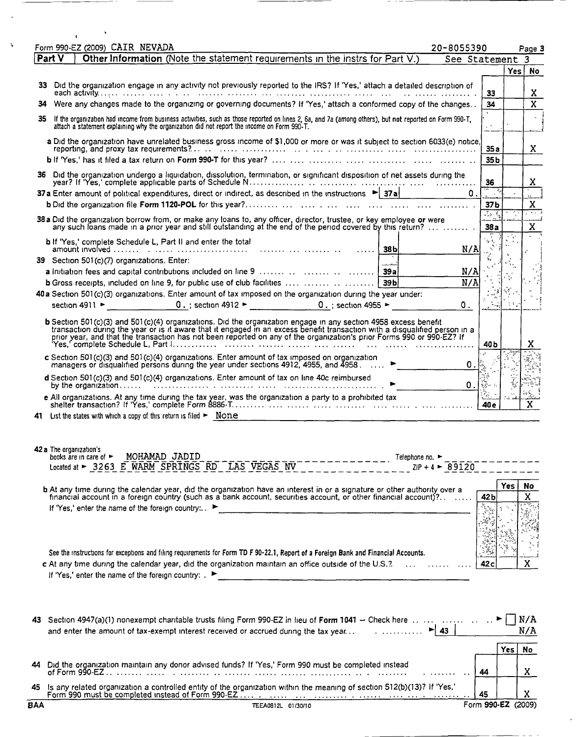|    | Form 990-EZ (2009) CAIR NEVADA<br>20-8055390                                                                                                                                                                                                                                                                                                                                                                                                   |                                    |            |                            |
|----|------------------------------------------------------------------------------------------------------------------------------------------------------------------------------------------------------------------------------------------------------------------------------------------------------------------------------------------------------------------------------------------------------------------------------------------------|------------------------------------|------------|----------------------------|
|    | Other Information (Note the statement requirements in the instrs for Part V.)<br>i Part V                                                                                                                                                                                                                                                                                                                                                      | See Statement                      |            | Page 3<br>3                |
|    |                                                                                                                                                                                                                                                                                                                                                                                                                                                |                                    |            | Yes No                     |
|    | 33 Did the organization engage in any activity not previously reported to the IRS? If 'Yes,' attach a detailed description of                                                                                                                                                                                                                                                                                                                  | 33                                 |            |                            |
|    | 34 Were any changes made to the organizing or governing documents? If 'Yes,' attach a conformed copy of the changes                                                                                                                                                                                                                                                                                                                            | 34                                 |            | X<br>$\overline{\text{x}}$ |
| 35 | If the organization had income from business activities, such as those reported on lines 2, 6a, and 7a (among others), but not reported on Form 990-T,<br>attach a statement explaining why the organization did not report the income on Form 990-T.                                                                                                                                                                                          |                                    |            |                            |
|    | a Did the organization have unrelated business gross income of \$1,000 or more or was it subject to section 6033(e) notice,                                                                                                                                                                                                                                                                                                                    | 35a                                |            | X.                         |
|    | 36 Did the organization undergo a liquidation, dissolution, termination, or significant disposition of net assets during the                                                                                                                                                                                                                                                                                                                   | 35 <sub>b</sub>                    |            |                            |
|    |                                                                                                                                                                                                                                                                                                                                                                                                                                                | 36<br>$\Omega$ .                   |            | X                          |
|    | 37 a Enter amount of political expenditures, direct or indirect, as described in the instructions $\blacktriangleright$ 37 a                                                                                                                                                                                                                                                                                                                   | 37b                                |            | X                          |
|    | 38 a Did the organization borrow from, or make any loans to, any officer, director, trustee, or key employee or were<br>any such loans made in a prior year and still outstanding at the end of the period covered by this return?                                                                                                                                                                                                             | $\frac{1}{2}$ $\frac{1}{2}$<br>38a |            | ுர<br>$\mathbf x$          |
|    | <b>b</b> If 'Yes,' complete Schedule L, Part II and enter the total                                                                                                                                                                                                                                                                                                                                                                            | N/A                                |            |                            |
|    | 39 Section 501(c)(7) organizations. Enter:                                                                                                                                                                                                                                                                                                                                                                                                     |                                    |            |                            |
|    | b Gross receipts, included on line 9, for public use of club facilities     39b                                                                                                                                                                                                                                                                                                                                                                | N/A<br>N/A                         |            |                            |
|    | 40 a Section 501(c)(3) organizations. Enter amount of tax imposed on the organization during the year under:                                                                                                                                                                                                                                                                                                                                   |                                    |            |                            |
|    | section 4911 > $0.$ ; section 4912 > $0.$ $0.$ $\leq$ 0.; section 4955 >                                                                                                                                                                                                                                                                                                                                                                       | $\mathbf{0}$ .                     |            |                            |
|    | b Section 501(c)(3) and 501(c)(4) organizations. Did the organization engage in any section 4958 excess benefit<br>transaction during the year or is it aware that it engaged in an excess benefit transaction with a disqualified person in a<br>prior year, and that the transaction has not been reported on any of the organization's prior Form                                                                                           | 40 <sub>b</sub>                    |            | X                          |
|    | c Section 501(c)(3) and 501(c)(4) organizations. Enter amount of tax imposed on organization<br>managers or disqualified persons during the year under sections 4912, 4955, and 4958.                                                                                                                                                                                                                                                          | О.                                 |            |                            |
|    | d Section 501(c)(3) and 501(c)(4) organizations. Enter amount of tax on line 40c reimbursed<br>by the organization $\ldots$ . $\ldots$ . $\ldots$ . $\ldots$ . $\ldots$ . $\ldots$ . $\ldots$ . $\ldots$ . $\ldots$ . $\ldots$                                                                                                                                                                                                                 | 0.<br>tije<br>Vee                  |            |                            |
|    | e All organizations. At any time during the tax year, was the organization a party to a prohibited tax                                                                                                                                                                                                                                                                                                                                         | 40 <sub>e</sub>                    |            | X                          |
|    | 41 List the states with which a copy of this return is filed $\blacktriangleright$ None                                                                                                                                                                                                                                                                                                                                                        |                                    |            |                            |
|    | 42 a The organization's<br>MOHAMAD JADID<br>books are in care of $\blacktriangleright$<br>Telephone no. ►<br>Located at > 3263 E WARM SPRINGS RD LAS VEGAS NV<br>$2IP + 4$ $\triangleright$ 89120                                                                                                                                                                                                                                              |                                    |            |                            |
|    | <b>b</b> At any time during the calendar year, did the organization have an interest in or a signature or other authority over a financial account in a foreign country (such as a bank account, securities account, or other finan<br>If 'Yes,' enter the name of the foreign country: ▶<br><u> 1950 - Jan Barat, martin de la conte</u>                                                                                                      | 42 b                               | <b>Yes</b> | No<br>X                    |
|    | See the instructions for exceptions and filing requirements for Form TD F 90-22.1, Report of a Foreign Bank and Financial Accounts.<br>c At any time during the calendar year, did the organization maintain an office outside of the U.S.?.<br>if 'Yes,' enter the name of the foreign country: $\blacktriangleright$<br><u> 1980 - Jan James James James James James James James James James James James James James James James James J</u> | 42 <sub>c</sub>                    |            | X                          |
|    | 43 Section 4947(a)(1) nonexempt charitable trusts filing Form 990-EZ in lieu of Form 1041 - Check here<br>$\blacktriangleright$ 43<br>and enter the amount of tax-exempt interest received or accrued during the tax year                                                                                                                                                                                                                      |                                    | <b>Yes</b> | N/A<br>N/A<br>No.          |
| 44 | Did the organization maintain any donor advised funds? If 'Yes,' Form 990 must be completed instead                                                                                                                                                                                                                                                                                                                                            | 44                                 |            | X                          |

 $\hspace{1.5cm} \longrightarrow \hspace{1.5cm}$ 

| <b>BAA</b> | TEEA0812L 01/30/10                                                                                                                                                              | Form 990-EZ (2009) |  |
|------------|---------------------------------------------------------------------------------------------------------------------------------------------------------------------------------|--------------------|--|
|            | A5 Is any related organization a controlled entity of the organization within the meaning of section 512(b)(13)? If 'Yes,'<br>Form 990 must be completed instead of Form 990-EZ |                    |  |

 $\bar{\epsilon}$ 

ä,

 $\zeta$ 

 $\sim$   $\sim$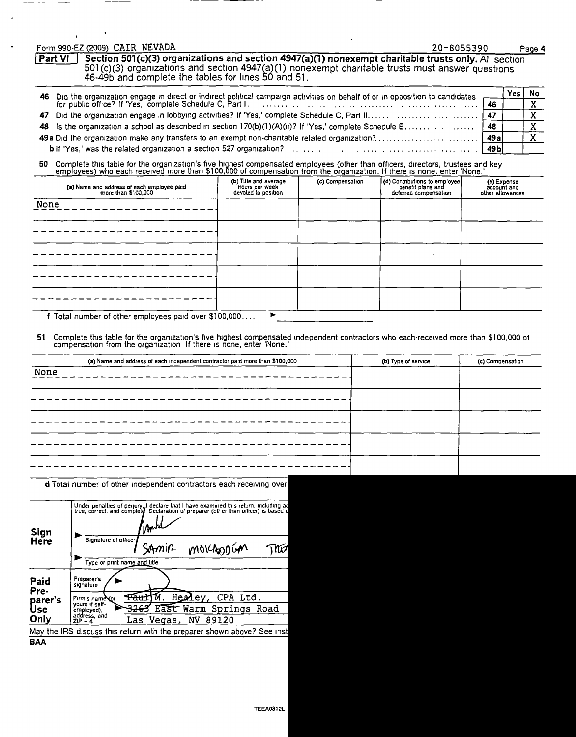#### Form 990-EZ (2009) CAIR NEVADA 20-8055390 Page <sup>4</sup>

 $\lambda$ 

Part VI ] Section 501(c)(3) organizations and section 4947(a)(1) nonexempt charitable trusts only. All section 501 (c)(3) organizations and section 4947(a)(1) nonexempt charitable trusts must answer questions 46-49b and complete the tables for lines 50 and 51.

|  |  | Yes l | No. |
|--|--|-------|-----|
|  |  |       |     |
|  |  |       |     |
|  |  |       |     |
|  |  |       |     |
|  |  |       |     |

50 Complete this table for the organization's five highest compensated employees (other than officers, directors, trustees and key<br>Comployees) who each received more than \$100,000 of compensation from the organization. If

| (b) Title and average<br>hours per week<br>devoted to position | (d) Contributions to employee<br>benefit plans and<br>deferred compensation | (e) Expense<br>account and<br>other allowances |
|----------------------------------------------------------------|-----------------------------------------------------------------------------|------------------------------------------------|
|                                                                |                                                                             |                                                |
|                                                                |                                                                             |                                                |
|                                                                |                                                                             |                                                |
|                                                                |                                                                             |                                                |
|                                                                |                                                                             |                                                |
|                                                                | (c) Compensation                                                            |                                                |

f Total number of other employees paid over  $$100,000\dots$ .

51 Complete this table for the organization's five highest compensated independent contractors who each'recelved more than \$100,000 of compensation from the organization If there is none, enter 'None.'

|      | (a) Name and address of each independent contractor paid more than \$100,000 | (b) Type of service | (c) Compensation |
|------|------------------------------------------------------------------------------|---------------------|------------------|
| None | _________________________                                                    |                     |                  |
|      |                                                                              |                     |                  |
|      |                                                                              |                     |                  |
|      |                                                                              |                     |                  |
|      |                                                                              |                     |                  |
|      |                                                                              |                     |                  |
|      |                                                                              |                     |                  |
|      |                                                                              |                     |                  |

d Total number of other independent contractors each receiving over

| Sign<br>Here          | Under penalties of perjury, I declare that I have examined this return, including ad<br>Declaration of preparer (other than officer) is based of<br>true, correct, and complete<br>ymhd<br>Signature of officer<br>SAMIR MOKADOGAN<br>Type or print name and title |
|-----------------------|--------------------------------------------------------------------------------------------------------------------------------------------------------------------------------------------------------------------------------------------------------------------|
| Paid<br>Pre-          | Preparer's<br>signature                                                                                                                                                                                                                                            |
| parer's<br><b>Use</b> | Healey, CPA Ltd.<br><del>Tau</del> ł<br>Firm's name Yor<br>yours if self-<br><del>3263</del> E <del>ast</del> Warm Springs Road<br>employed),                                                                                                                      |
| Only                  | address, and<br>Las Vegas, NV 89120<br>$ZIP + 4$                                                                                                                                                                                                                   |
|                       | May the IRS discuss this return with the preparer shown above? See inst                                                                                                                                                                                            |
| <b>BAA</b>            |                                                                                                                                                                                                                                                                    |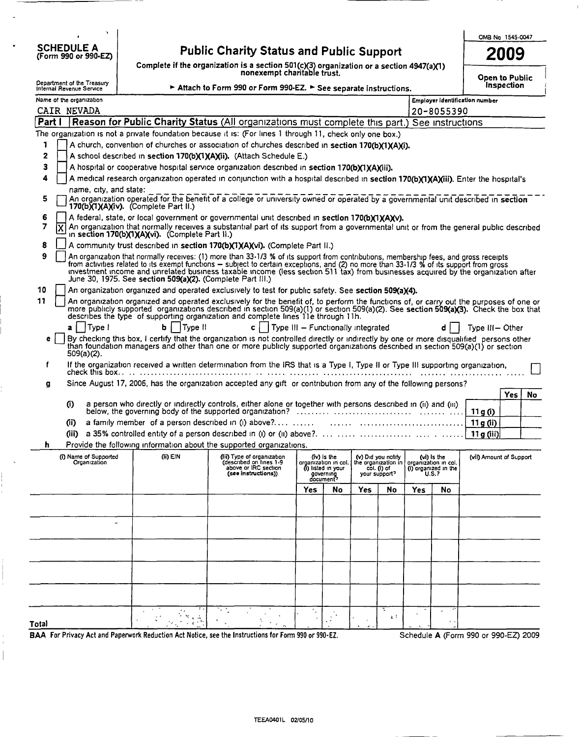$\ddot{\phantom{0}}$ SCHEDULE A (Form 990 or 990-EZ)

 $\frac{1}{\sqrt{2}}$  $\begin{array}{c} \hline \end{array}$ 

-- --

# Public Charity Status and Public Support

Complete if the organization is a section 501(c)(3) organization or a section 4947(a)(1)<br>nonexempt charitable trust.

| OMB No 1545-0047 |
|------------------|
| 2009             |

Open to Public Inspection

|        | Department of the Treasury<br>Internal Revenue Service |                                                                                                                                                                                                                                                                                                                                                                                                                                                                                      | Attach to Form 990 or Form 990-EZ. See separate instructions.                                        |                                               |                                                                                     |     |                                                    |                                            |                                              |                                      | <b>Inspection</b> |
|--------|--------------------------------------------------------|--------------------------------------------------------------------------------------------------------------------------------------------------------------------------------------------------------------------------------------------------------------------------------------------------------------------------------------------------------------------------------------------------------------------------------------------------------------------------------------|------------------------------------------------------------------------------------------------------|-----------------------------------------------|-------------------------------------------------------------------------------------|-----|----------------------------------------------------|--------------------------------------------|----------------------------------------------|--------------------------------------|-------------------|
|        | Name of the organization                               |                                                                                                                                                                                                                                                                                                                                                                                                                                                                                      |                                                                                                      |                                               |                                                                                     |     |                                                    |                                            |                                              | Employer identification number       |                   |
|        | CAIR NEVADA                                            |                                                                                                                                                                                                                                                                                                                                                                                                                                                                                      |                                                                                                      |                                               |                                                                                     |     |                                                    |                                            | 20-8055390                                   |                                      |                   |
| Part I |                                                        | Reason for Public Charity Status (All organizations must complete this part.) See instructions                                                                                                                                                                                                                                                                                                                                                                                       |                                                                                                      |                                               |                                                                                     |     |                                                    |                                            |                                              |                                      |                   |
|        |                                                        | The organization is not a private foundation because it is: (For lines 1 through 11, check only one box.)                                                                                                                                                                                                                                                                                                                                                                            |                                                                                                      |                                               |                                                                                     |     |                                                    |                                            |                                              |                                      |                   |
| 1      |                                                        | A church, convention of churches or association of churches described in section 170(b)(1)(A)(i).                                                                                                                                                                                                                                                                                                                                                                                    |                                                                                                      |                                               |                                                                                     |     |                                                    |                                            |                                              |                                      |                   |
| 2      |                                                        | A school described in section 170(b)(1)(A)(ii). (Attach Schedule E.)                                                                                                                                                                                                                                                                                                                                                                                                                 |                                                                                                      |                                               |                                                                                     |     |                                                    |                                            |                                              |                                      |                   |
| з      |                                                        | A hospital or cooperative hospital service organization described in section 170(b)(1)(A)(iii).                                                                                                                                                                                                                                                                                                                                                                                      |                                                                                                      |                                               |                                                                                     |     |                                                    |                                            |                                              |                                      |                   |
| 4      |                                                        | A medical research organization operated in conjunction with a hospital described in section 170(b)(1)(A)(iii). Enter the hospital's                                                                                                                                                                                                                                                                                                                                                 |                                                                                                      |                                               |                                                                                     |     |                                                    |                                            |                                              |                                      |                   |
| 5      | name, city, and state:                                 | An organization operated for the benefit of a college or university owned or operated by a governmental unit described in section<br>170(b)(1)(A)(iv). (Complete Part II.)                                                                                                                                                                                                                                                                                                           |                                                                                                      |                                               |                                                                                     |     |                                                    |                                            |                                              |                                      |                   |
| 6      |                                                        | A federal, state, or local government or governmental unit described in section 170(b)(1)(A)(v).                                                                                                                                                                                                                                                                                                                                                                                     |                                                                                                      |                                               |                                                                                     |     |                                                    |                                            |                                              |                                      |                   |
| 7      | ΙX                                                     | An organization that normally receives a substantial part of its support from a governmental unit or from the general public described<br>in section 170(b)(1)(A)(vi). (Complete Part II.)                                                                                                                                                                                                                                                                                           |                                                                                                      |                                               |                                                                                     |     |                                                    |                                            |                                              |                                      |                   |
| 8      |                                                        | A community trust described in section 170(b)(1)(A)(vi). (Complete Part II.)                                                                                                                                                                                                                                                                                                                                                                                                         |                                                                                                      |                                               |                                                                                     |     |                                                    |                                            |                                              |                                      |                   |
| 9      |                                                        | An organization that normally receives: (1) more than 33-1/3 % of its support from contributions, membership fees, and gross receipts<br>from activities related to its exempt functions – subject to certain exceptions, and (2) no more than 33-1/3 % of its support from gross<br>investment income and unrelated business taxable income (less section 511 tax) from businesses acquired by the organization after<br>June 30, 1975. See section 509(a)(2). (Complete Part III.) |                                                                                                      |                                               |                                                                                     |     |                                                    |                                            |                                              |                                      |                   |
| 10     |                                                        | An organization organized and operated exclusively to test for public safety. See section 509(a)(4).                                                                                                                                                                                                                                                                                                                                                                                 |                                                                                                      |                                               |                                                                                     |     |                                                    |                                            |                                              |                                      |                   |
| 11     |                                                        | An organization organized and operated exclusively for the benefit of, to perform the functions of, or carry out the purposes of one or                                                                                                                                                                                                                                                                                                                                              |                                                                                                      |                                               |                                                                                     |     |                                                    |                                            |                                              |                                      |                   |
|        |                                                        | more publicly supported organizations described in section 509(a)(1) or section 509(a)(2). See section 509(a)(3). Check the box that<br>describes the type of supporting organization and complete lines 11e through 11h.                                                                                                                                                                                                                                                            |                                                                                                      |                                               |                                                                                     |     |                                                    |                                            |                                              |                                      |                   |
|        | Type I<br>a.                                           | Ы<br>Type II                                                                                                                                                                                                                                                                                                                                                                                                                                                                         | c l                                                                                                  | $\sqrt{ }$ Type III - Functionally integrated |                                                                                     |     |                                                    |                                            |                                              | Type III-Other                       |                   |
| е      | $509(a)(2)$ .                                          | By checking this box, I certify that the organization is not controlled directly or indirectly by one or more disqualified persons other<br>than foundation managers and other than one or more publicly supported organizations described in section 509(a)(1) or section                                                                                                                                                                                                           |                                                                                                      |                                               |                                                                                     |     |                                                    |                                            |                                              |                                      |                   |
| f      | check this box                                         | If the organization received a written determination from the IRS that is a Type I, Type II or Type III supporting organization,                                                                                                                                                                                                                                                                                                                                                     |                                                                                                      |                                               |                                                                                     |     |                                                    |                                            |                                              |                                      |                   |
| g      |                                                        | Since August 17, 2006, has the organization accepted any gift or contribution from any of the following persons?                                                                                                                                                                                                                                                                                                                                                                     |                                                                                                      |                                               |                                                                                     |     |                                                    |                                            |                                              |                                      |                   |
|        |                                                        | a person who directly or indirectly controls, either alone or together with persons described in (ii) and (iii)                                                                                                                                                                                                                                                                                                                                                                      |                                                                                                      |                                               |                                                                                     |     |                                                    |                                            |                                              |                                      | Yes<br>No         |
|        | $\bf{0}$                                               |                                                                                                                                                                                                                                                                                                                                                                                                                                                                                      |                                                                                                      |                                               |                                                                                     |     |                                                    |                                            |                                              | 11 g (i)                             |                   |
|        | (ii)                                                   | a family member of a person described in (i) above? $\dots$                                                                                                                                                                                                                                                                                                                                                                                                                          |                                                                                                      |                                               |                                                                                     |     |                                                    |                                            |                                              | 11g(i)                               |                   |
|        | Gii).                                                  |                                                                                                                                                                                                                                                                                                                                                                                                                                                                                      |                                                                                                      |                                               |                                                                                     |     |                                                    |                                            |                                              | 11 g (iii)                           |                   |
| h      |                                                        | Provide the following information about the supported organizations.                                                                                                                                                                                                                                                                                                                                                                                                                 |                                                                                                      |                                               |                                                                                     |     |                                                    |                                            |                                              |                                      |                   |
|        | (i) Name of Supported<br>Organization                  | (ii) EIN                                                                                                                                                                                                                                                                                                                                                                                                                                                                             | (iii) Type of organization<br>(described on lines 1-9<br>above or IRC section<br>(see instructions)) |                                               | (iv) is the<br>organization in col.<br>(i) listed in your<br>governing<br>document? |     | (v) Did you notify<br>col. (i) of<br>your support? | the organization in   organization in col. | (vi) is the<br>(i) organized in the<br>U.S.7 | (vii) Amount of Support              |                   |
|        |                                                        |                                                                                                                                                                                                                                                                                                                                                                                                                                                                                      |                                                                                                      | Yes                                           | No                                                                                  | Yes | No                                                 | <b>Yes</b>                                 | No                                           |                                      |                   |
|        |                                                        |                                                                                                                                                                                                                                                                                                                                                                                                                                                                                      |                                                                                                      |                                               |                                                                                     |     |                                                    |                                            |                                              |                                      |                   |
|        |                                                        |                                                                                                                                                                                                                                                                                                                                                                                                                                                                                      |                                                                                                      |                                               |                                                                                     |     |                                                    |                                            |                                              |                                      |                   |
|        |                                                        |                                                                                                                                                                                                                                                                                                                                                                                                                                                                                      |                                                                                                      |                                               |                                                                                     |     |                                                    |                                            |                                              |                                      |                   |
|        |                                                        |                                                                                                                                                                                                                                                                                                                                                                                                                                                                                      |                                                                                                      |                                               |                                                                                     |     |                                                    |                                            |                                              |                                      |                   |
|        |                                                        |                                                                                                                                                                                                                                                                                                                                                                                                                                                                                      |                                                                                                      |                                               |                                                                                     |     |                                                    |                                            |                                              |                                      |                   |
|        |                                                        |                                                                                                                                                                                                                                                                                                                                                                                                                                                                                      |                                                                                                      |                                               |                                                                                     |     |                                                    |                                            |                                              |                                      |                   |
|        |                                                        |                                                                                                                                                                                                                                                                                                                                                                                                                                                                                      |                                                                                                      |                                               |                                                                                     |     |                                                    |                                            |                                              |                                      |                   |
|        |                                                        |                                                                                                                                                                                                                                                                                                                                                                                                                                                                                      |                                                                                                      |                                               |                                                                                     |     |                                                    |                                            |                                              |                                      |                   |
|        |                                                        |                                                                                                                                                                                                                                                                                                                                                                                                                                                                                      |                                                                                                      |                                               |                                                                                     |     |                                                    |                                            |                                              |                                      |                   |
|        |                                                        |                                                                                                                                                                                                                                                                                                                                                                                                                                                                                      |                                                                                                      |                                               |                                                                                     |     | ÷.                                                 |                                            |                                              |                                      |                   |
|        |                                                        |                                                                                                                                                                                                                                                                                                                                                                                                                                                                                      |                                                                                                      | Λ,                                            | $\mathbb{R}^N$                                                                      |     | 2 <sup>2</sup>                                     |                                            |                                              |                                      |                   |
| Total  |                                                        |                                                                                                                                                                                                                                                                                                                                                                                                                                                                                      |                                                                                                      |                                               |                                                                                     |     |                                                    |                                            |                                              |                                      |                   |
|        |                                                        | BAA For Privacy Act and Paperwork Reduction Act Notice, see the Instructions for Form 990 or 990-EZ.                                                                                                                                                                                                                                                                                                                                                                                 |                                                                                                      |                                               |                                                                                     |     |                                                    |                                            |                                              | Schedule A (Form 990 or 990-EZ) 2009 |                   |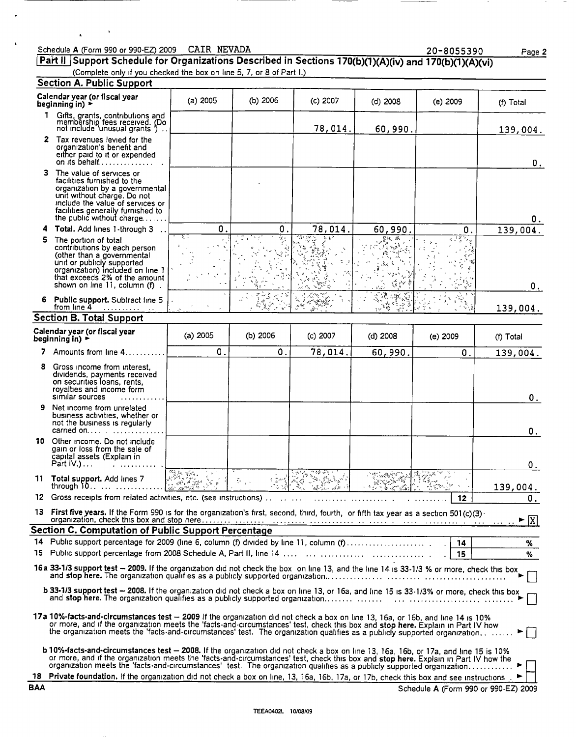### Schedule A (Form 990 or 990-EZ) 2009 CAIR NEVADA 2000 20-8055390 Page 2 Part II Support Schedule for Organizations Described in Sections 170(b)(1)(A)(iv) and 170(b)(1)(A)(vi)

 $\ddot{\phantom{1}}$ 

 $\mathbf{r}$ 

 $\cdot$ 

(Complete only if you checked the box on line 5, 7, or 8 of Part I.)

|            | <b>Section A. Public Support</b>                                                                                                                                                                                                                                                                                                                                                                     |            |                          |            |            |                                      |                                      |
|------------|------------------------------------------------------------------------------------------------------------------------------------------------------------------------------------------------------------------------------------------------------------------------------------------------------------------------------------------------------------------------------------------------------|------------|--------------------------|------------|------------|--------------------------------------|--------------------------------------|
|            | Calendar year (or fiscal year<br>beginning in) $\blacktriangleright$                                                                                                                                                                                                                                                                                                                                 | $(a)$ 2005 | (b) $2006$               | $(c)$ 2007 | (d) 2008   | $(e)$ 2009                           | (f) Total                            |
|            | 1<br>Gifts, grants, contributions and<br>membership fees received. (Do<br>not include 'unusual grants')                                                                                                                                                                                                                                                                                              |            |                          | 78,014.    | 60,990.    |                                      | 139,004.                             |
|            | 2 Tax revenues levied for the<br>organization's benefit and<br>either paid to it or expended<br>on its behalf $\dots \dots \dots$                                                                                                                                                                                                                                                                    |            |                          |            |            |                                      | О.                                   |
| 3          | The value of services or<br>facilities furnished to the<br>organization by a governmental<br>unit without charge. Do not<br>include the value of services or<br>facilities generally furnished to<br>the public without charge                                                                                                                                                                       |            |                          |            |            |                                      | 0.                                   |
| 4          | Total. Add lines 1-through 3                                                                                                                                                                                                                                                                                                                                                                         | 0.         | $\mathbf 0$ .            | 78,014.    | 60,990     | 0.                                   | 139,004.                             |
| 5          | The portion of total<br>contributions by each person<br>(other than a governmental<br>unit or publicly supported<br>organization) included on line 1<br>that exceeds 2% of the amount<br>shown on line 11, column (f).                                                                                                                                                                               | হ          |                          | তি> চুস    |            |                                      | О.                                   |
| 6          | Public support. Subtract line 5<br>from line 4                                                                                                                                                                                                                                                                                                                                                       |            |                          | بمقهم      |            |                                      | 139,004.                             |
|            | <b>Section B. Total Support</b>                                                                                                                                                                                                                                                                                                                                                                      |            |                          |            |            |                                      |                                      |
|            | Calendar year (or fiscal year<br>beginning in) $\blacktriangleright$                                                                                                                                                                                                                                                                                                                                 | (a) 2005   | (b) 2006                 | $(c)$ 2007 | $(d)$ 2008 | (e) 2009                             | (f) Total                            |
|            | 7 Amounts from line 4                                                                                                                                                                                                                                                                                                                                                                                | 0.         | 0.                       | 78,014.    | 60,990.    | 0.                                   | 139,004.                             |
| 8          | Gross income from interest.<br>dividends, payments received<br>on securities loans, rents,<br>royalties and income form<br>similar sources                                                                                                                                                                                                                                                           |            |                          |            |            |                                      | $0_{\cdot}$                          |
| 9          | Net income from unrelated<br>business activities, whether or<br>not the business is regularly                                                                                                                                                                                                                                                                                                        |            |                          |            |            |                                      | 0.                                   |
|            | 10 Other income. Do not include<br>gain or loss from the sale of<br>capital assets (Explain in<br>Part $IV.$ )                                                                                                                                                                                                                                                                                       |            |                          |            |            |                                      | 0.                                   |
|            | 11 Total support. Add lines 7<br>through $0 \ldots \ldots \ldots$                                                                                                                                                                                                                                                                                                                                    |            | $\tilde{\mathbb{C}}$ , . |            |            |                                      | 139,004.                             |
|            |                                                                                                                                                                                                                                                                                                                                                                                                      |            |                          |            |            |                                      | 0.                                   |
|            | 13 First five years. If the Form 990 is for the organization's first, second, third, fourth, or fifth tax year as a section 501(c)(3)                                                                                                                                                                                                                                                                |            |                          |            |            |                                      | $\blacktriangleright$ $\overline{X}$ |
|            | <b>Section C. Computation of Public Support Percentage</b>                                                                                                                                                                                                                                                                                                                                           |            |                          |            |            |                                      |                                      |
|            |                                                                                                                                                                                                                                                                                                                                                                                                      |            |                          |            |            |                                      | %                                    |
|            |                                                                                                                                                                                                                                                                                                                                                                                                      |            |                          |            |            | 15                                   | %                                    |
|            | 16a 33-1/3 support test - 2009. If the organization did not check the box on line 13, and the line 14 is 33-1/3 % or more, check this box                                                                                                                                                                                                                                                            |            |                          |            |            |                                      |                                      |
|            | b 33-1/3 support test - 2008. If the organization did not check a box on line 13, or 16a, and line 15 is 33-1/3% or more, check this box                                                                                                                                                                                                                                                             |            |                          |            |            |                                      |                                      |
|            | 17a 10%-facts-and-circumstances test - 2009 If the organization did not check a box on line 13, 16a, or 16b, and line 14 is 10%<br>or more, and if the organization meets the 'facts-and-circumstances' test, check this box and stop here. Explain in Part IV how<br>the organization meets the 'facts-and-circumstances' test. The organization qualifies as a publicly supported organization     |            |                          |            |            |                                      |                                      |
|            | b 10%-facts-and-circumstances test - 2008. If the organization did not check a box on line 13, 16a, 16b, or 17a, and line 15 is 10%<br>or more, and if the organization meets the 'facts-and-circumstances' test, check this box and stop here. Explain in Part IV how the<br>organization meets the 'facts-and-circumstances' test. The organization qualifies as a publicly supported organization |            |                          |            |            |                                      |                                      |
| <b>BAA</b> | 18 Private foundation. If the organization did not check a box on line, 13, 16a, 16b, 17a, or 17b, check this box and see instructions.                                                                                                                                                                                                                                                              |            |                          |            |            | Schedule A (Form 990 or 990-EZ) 2009 |                                      |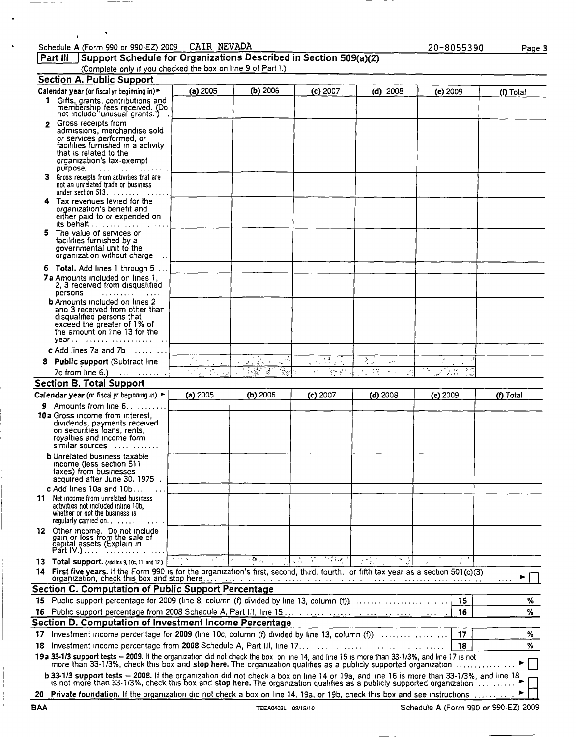## Schedule A (Form 990 or 990-EZ) 2009 CAIR NEVADA 2000 2000 2000 Page 3

 $\ddot{\phantom{1}}$ 

 $\ddot{\phantom{0}}$ 

|                                                             | Part III      Support Schedule for Organizations Described in Section 509(a)(2) |  |
|-------------------------------------------------------------|---------------------------------------------------------------------------------|--|
| (Complete only if you checked the box on line 9 of Part I.) |                                                                                 |  |

|              | <b>Section A. Public Support</b>                                                                                                                                                                                                                                                                                                                  |            |                                                                                     |             |            |                        |           |
|--------------|---------------------------------------------------------------------------------------------------------------------------------------------------------------------------------------------------------------------------------------------------------------------------------------------------------------------------------------------------|------------|-------------------------------------------------------------------------------------|-------------|------------|------------------------|-----------|
|              | Calendar year (or fiscal yr beginning in) >                                                                                                                                                                                                                                                                                                       | (a) 2005   | (b) 2006                                                                            | $(c)$ 2007  | $(d)$ 2008 | $(e)$ 2009             | (f) Total |
|              | 1 Gifts, grants, contributions and<br>membership fees received. (Do<br>not include 'unusual grants.')                                                                                                                                                                                                                                             |            |                                                                                     |             |            |                        |           |
| $\mathbf{2}$ | Gross receipts from                                                                                                                                                                                                                                                                                                                               |            |                                                                                     |             |            |                        |           |
|              | admissions, merchandise sold<br>or services performed, or<br>facilities furnished in a activity<br>that is related to the                                                                                                                                                                                                                         |            |                                                                                     |             |            |                        |           |
|              | organization's tax-exempt<br>purpose.                                                                                                                                                                                                                                                                                                             |            |                                                                                     |             |            |                        |           |
|              | 3 Gross receipts from activities that are<br>not an unrelated trade or business<br>under section $513.$                                                                                                                                                                                                                                           |            |                                                                                     |             |            |                        |           |
|              | 4 Tax revenues levied for the                                                                                                                                                                                                                                                                                                                     |            |                                                                                     |             |            |                        |           |
|              | organization's benefit and<br>either paid to or expended on<br>its behalf $\ldots$                                                                                                                                                                                                                                                                |            |                                                                                     |             |            |                        |           |
| 5            | The value of services or<br>facilities furnished by a<br>governmental unit to the<br>organization without charge                                                                                                                                                                                                                                  |            |                                                                                     |             |            |                        |           |
|              |                                                                                                                                                                                                                                                                                                                                                   |            |                                                                                     |             |            |                        |           |
|              | 6 Total. Add lines 1 through 5                                                                                                                                                                                                                                                                                                                    |            |                                                                                     |             |            |                        |           |
|              | <b>7a</b> Amounts included on lines 1,<br>2, 3 received from disqualified<br>persons<br>1.1.1.1.1.1.1.1                                                                                                                                                                                                                                           |            |                                                                                     |             |            |                        |           |
|              | <b>b</b> Amounts included on lines 2<br>and 3 received from other than                                                                                                                                                                                                                                                                            |            |                                                                                     |             |            |                        |           |
|              | disqualified persons that                                                                                                                                                                                                                                                                                                                         |            |                                                                                     |             |            |                        |           |
|              | exceed the greater of 1% of<br>the amount on line 13 for the                                                                                                                                                                                                                                                                                      |            |                                                                                     |             |            |                        |           |
|              |                                                                                                                                                                                                                                                                                                                                                   |            |                                                                                     |             |            |                        |           |
|              | c Add lines 7a and 7b $\dots$ , $\dots$                                                                                                                                                                                                                                                                                                           |            |                                                                                     | kis<br>Nati | ار ځ<br>تر |                        |           |
| 8            | Public support (Subtract line                                                                                                                                                                                                                                                                                                                     | $\sqrt{2}$ | 2.737<br>$\mathbf{v}_{\mathbf{m}}$<br>$\frac{1}{2}$<br>$\sqrt{\frac{2}{3}}$<br>्युः | here        | J.<br>土豆   | ₹.<br>$\sqrt{2}$<br>つけ |           |
|              | 7c from line 6.)                                                                                                                                                                                                                                                                                                                                  |            |                                                                                     |             |            |                        |           |
|              |                                                                                                                                                                                                                                                                                                                                                   |            |                                                                                     |             |            |                        |           |
|              | <b>Section B. Total Support</b>                                                                                                                                                                                                                                                                                                                   |            |                                                                                     |             |            |                        |           |
|              | Calendar year (or fiscal yr beginning in) $\blacktriangleright$                                                                                                                                                                                                                                                                                   | (a) 2005   | $(b)$ 2006                                                                          | $(c)$ 2007  | $(d)$ 2008 | (e) 2009               | (f) Total |
|              | <b>9</b> Amounts from line $6 \ldots$ .                                                                                                                                                                                                                                                                                                           |            |                                                                                     |             |            |                        |           |
|              | <b>10 a</b> Gross income from interest,<br>dividends, payments received<br>on securities loans, rents,<br>royalties and income form<br>similar sources                                                                                                                                                                                            |            |                                                                                     |             |            |                        |           |
|              | <b>b</b> Unrelated business taxable<br>income (less section 511)<br>taxes) from businesses<br>acquired after June 30, 1975.                                                                                                                                                                                                                       |            |                                                                                     |             |            |                        |           |
|              | c Add lines 10a and 10b                                                                                                                                                                                                                                                                                                                           |            |                                                                                     |             |            |                        |           |
| 11.          | Net income from unrelated business<br>activities not included inline 10b,<br>whether or not the business is                                                                                                                                                                                                                                       |            |                                                                                     |             |            |                        |           |
|              | regularly carried on. $\ldots$ .                                                                                                                                                                                                                                                                                                                  |            |                                                                                     |             |            |                        |           |
|              | 12 Other income. Do not include<br>gain or loss from the sale of<br>capital assets (Explain in<br>Part IV.)                                                                                                                                                                                                                                       |            |                                                                                     |             |            |                        |           |
|              | 13 Total support. (add Ins 9, 10c, 11, and 12)                                                                                                                                                                                                                                                                                                    |            | $-33\%$                                                                             | 37 T.P      |            |                        |           |
| 14.          | First five years. If the Form 990 is for the organization's first, second, third, fourth, or fifth tax year as a section 501(c)(3)                                                                                                                                                                                                                |            |                                                                                     |             |            |                        |           |
|              |                                                                                                                                                                                                                                                                                                                                                   |            |                                                                                     |             |            |                        |           |
|              | Section C. Computation of Public Support Percentage                                                                                                                                                                                                                                                                                               |            |                                                                                     |             |            |                        |           |
|              |                                                                                                                                                                                                                                                                                                                                                   |            |                                                                                     |             |            | 15                     | ℅         |
|              | 16 Public support percentage from 2008 Schedule A, Part III, line 15                                                                                                                                                                                                                                                                              |            |                                                                                     |             |            | 16                     | %         |
|              | Section D. Computation of Investment Income Percentage                                                                                                                                                                                                                                                                                            |            |                                                                                     |             |            |                        |           |
|              | 17 Investment income percentage for 2009 (line 10c, column (f) divided by line 13, column (f))                                                                                                                                                                                                                                                    |            |                                                                                     |             |            | 17                     | %         |
|              | 18 Investment income percentage from 2008 Schedule A, Part III, line 17<br>19a 33-1/3 support tests - 2009. If the organization did not check the box on line 14, and line 15 is more than 33-1/3%, and line 17 is not                                                                                                                            |            |                                                                                     |             |            | 18                     | %         |
|              | more than 33-1/3%, check this box and stop here. The organization qualifies as a publicly supported organization<br>b 33-1/3 support tests - 2008. If the organization did not check a box on line 14 or 19a, and line 16 is more than 33-1/3%, and line 18 is not more than 33-1/3%, check this box and stop here. The organization qualifies as |            |                                                                                     |             |            |                        |           |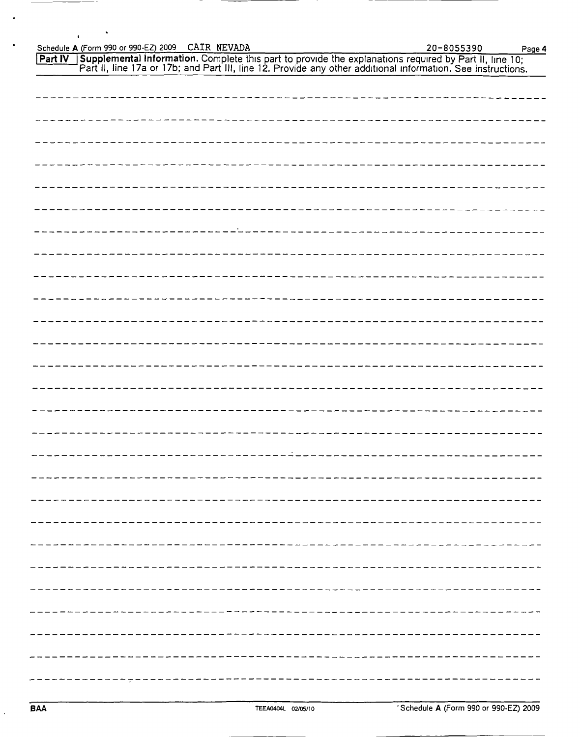Schedule A (Form 990 or 990-EZ) 2009 CAIR NEVADA 2000 20-8055390 Page 4

 $\overline{a}$ 

Part IV Supplemental Information. Complete this part to provide the explanations required by Part II, line 10; Part II, line 17a or 17b; and Part III, line 12. Provide any other additional information. See instructions.

| . <u>_ _ _ _ _ _ _ _ _ _ _ _ _</u> _ _ |
|----------------------------------------|
|                                        |
|                                        |
|                                        |
|                                        |
|                                        |
|                                        |
|                                        |
|                                        |
|                                        |
|                                        |